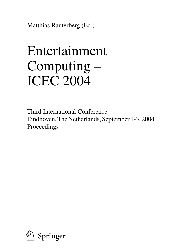Matthias Rauterberg (Ed.)

## Entertainment Computing – ICEC 2004

Third International Conference Eindhoven,The Netherlands, September 1-3, 2004 Proceedings

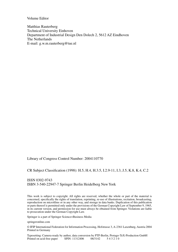Volume Editor

Matthias Rauterberg Technical University Einhoven Department of Industrial Design Den Dolech 2, 5612 AZ Eindhoven The Netherlands E-mail: g.w.m.rauterberg@tue.nl

Library of Congress Control Number: 2004110770

CR Subject Classification (1998): H.5, H.4, H.3.5, I.2.9-11, I.3, J.5, K.8, K.4, C.2

ISSN 0302-9743 ISBN 3-540-22947-7 Springer Berlin Heidelberg New York

This work is subject to copyright. All rights are reserved, whether the whole or part of the material is concerned, specifically the rights of translation, reprinting, re-use of illustrations, recitation, broadcasting, reproduction on microfilms or in any other way, and storage in data banks. Duplication of this publication or parts thereof is permitted only under the provisions of the German Copyright Law of September 9, 1965, in its current version, and permission for use must always be obtained from Springer. Violations are liable to prosecution under the German Copyright Law.

Springer is a part of Springer Science+Business Media

springeronline.com

© IFIP International Federation for Information Processing, Hofstrasse 3, A-2361 Laxenburg, Austria 2004 Printed in Germany

Typesetting: Camera-ready by author, data conversion by PTP-Berlin, Protago-TeX-Production GmbH Printed on acid-free paper SPIN:  $11312406$   $06/3142$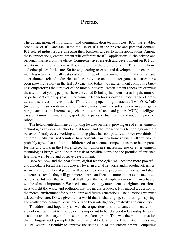## **Preface**

The advancement of information and communication technologies (ICT) has enabled broad use of ICT and facilitated the use of ICT in the private and personal domain. ICT-related industries are directing their business targets to home applications. Among these applications, entertainment will differentiate ICT applications in the private and personal market from the office. Comprehensive research and development on ICT applications for entertainment will be different for the promotion of ICT use in the home and other places for leisure. So far engineering research and development on entertainment has never been really established in the academic communities. On the other hand entertainment-related industries such as the video and computer game industries have been growing rapidly in the last 10 years, and today the entertainment computing business outperforms the turnover of the movie industry. Entertainment robots are drawing the attention of young people. The event called RoboCup has been increasing the number of participants year by year. Entertainment technologies cover a broad range of products and services: movies, music, TV (including upcoming interactive TV), VCR, VoD (including music on demand), computer games, game consoles, video arcades, gambling machines, the Internet (e.g., chat rooms, board and card games, MUD), intelligent toys, edutainment, simulations, sport, theme parks, virtual reality, and upcoming service robots.

The field of entertainment computing focuses on users' growing use of entertainment technologies at work, in school and at home, and the impact of this technology on their behavior. Nearly every working and living place has computers, and over two-thirds of children in industrialized countries have computers in their homes as well.All of us would probably agree that adults and children need to become competent users to be prepared for life and work in the future. Especially children's increasing use of entertainment technologies brings with it both the risk of possible harm and the promise of enriched learning, well-being and positive development.

Between now and the near future, digital technologies will become more powerful and affordable for all users and at every level, in digital networks and in product offerings. An increasing number of people will be able to compile, program, edit, create and share content; as a result, they will gain more control and become more immersed in media experiences. But more than technical challenges, the social implications on human behavior will be of most importance. We need a media ecology movement to heighten consciousness to fight the waste and pollution that the media produces. It is indeed a question of the mental environment for our children and future generations. The questions we must ask ourselves are: Do we give them a world that is challenging, stimulating, inspiring, and really entertaining? Do we encourage their intelligence, creativity and curiosity?

To address and hopefully answer these questions and to advance this newly born area of entertainment technologies it is important to build a good relationship between academia and industry, and to set up a task force group. This was the main motivation that in August 2000 prompted the International Federation for Information Processing (IFIP) General Assembly to approve the setting up of the Entertainment Computing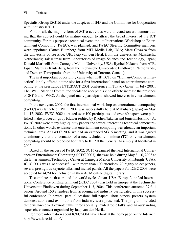Specialist Group (SG16) under the auspices of IFIP and the Committee for Cooperation with Industry (CCI).

First of all, the major efforts of SG16 activities were directed toward demonstrating that the subject could be mature enough to attract the broad interest of the ICT community. For this purpose a technical event, the 1st International Workshop on Entertainment Computing (IWEC), was planned, and IWEC Steering Committee members were appointed (Bruce Blumberg from MIT Media Lab, USA; Marc Cavazza from the University of Teesside, UK; Jaap van den Herik from the Universiteit Maastricht, Netherlands; Tak Kamae from Laboratories of Image Science and Technology, Japan; Donald Marinelli from Carnegie Mellon University, USA; Ryohei Nakatsu from ATR, Japan; Matthias Rauterberg from the Technische Universiteit Eindhoven, Netherlands; and Demetri Terzopoulos from the University of Toronto, Canada).

The first important opportunity came when IFIP TC13 on "Human-Computer Interaction" kindly offered a time slot for a first international panel on entertainment computing at the prestigious INTERACT 2001 conference in Tokyo (Japan) in July 2001. The IWEC Steering Committee decided to accept this kind offer to increase the presence of SG16 and IWEC. At the panel many participants showed interests in entertainment computing.

In the next year, 2002, the first international workshop on entertainment computing (IWEC) was launched. IWEC 2002 was successfully held at Makuhari (Japan) on May 14–17, 2002. IWEC 2002 attracted over 100 participants and over 60 papers were published in the proceedings by Kluwer (edited by Ryohei Nakatsu and Junichi Hoshino). At IWEC 2002 were many high-quality papers and several interesting technical demonstrations. In other words, evidence that entertainment computing was already an important technical area. At IWEC 2002 we had an extended SG16 meeting, and it was agreed unanimously that the formation of a new technical committee (TC) on entertainment computing should be proposed formally to IFIP at the General Assembly at Montreal in 2002.

Based on the success of IWEC 2002, SG16 organized the next International Conference on Entertainment Computing (ICEC 2003), that was held during May 8–10, 2003 at the Entertainment Technology Center at Carnegie Mellon University, Pittsburgh (USA). ICEC 2003 was also successful with more than 100 attendees, 20 highly select papers, several prestigious keynote talks, and invited panels. All the papers for ICEC 2003 were accepted by ACM for inclusion in their ACM online digital library.

To complete the first around-the-world cycle "Japan–USA–Europe", the 3rd International Conference on Entertainment (ICEC 2004) was held in Europe at the Technische Universiteit Eindhoven during September 1–3, 2004. This conference attracted 27 full papers. Around 150 attendees from academia and industry participated in this successful conference. In several parallel sessions full papers, short papers, posters, system demonstrations and exhibitions from industry were presented. The program included three well-received keynote talks, three specially invited topic talks, and an outstanding super-chess contest organized by Jaap van den Herik.

For more information about ICEC 2004 have a look at the homepage on the Internet: http://www.icec.id.tue.nl/